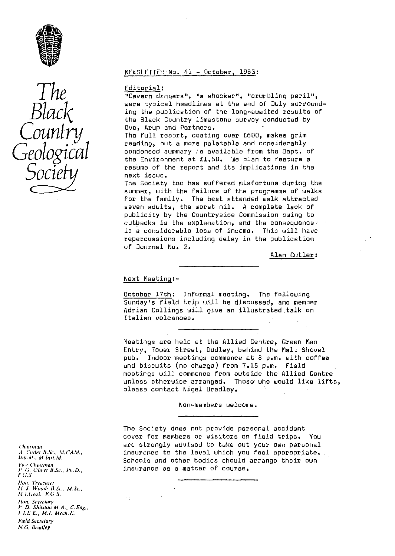

# *The Black Country Geological Socie*

## NEWSLETTER•No. 41 - October, 1983 :

#### Editorial :

"Cavern dangers", "a shocker", "crumbling peril", were typical headlines at the end of July surrounding the publication of the long-awaited results of the Black Country limestone survey conducted by D y e, Arup and Partners.

The full report, costing over £600, makes grim reading, but a more palatable and considerably condensed summary is available from the Dept. of the Environment at £1.50. We plan to feature a resume of the report and its implications in the next issue.

The Society too has suffered misfortune during the summer, with the failure of the programme of walks for the family. The best attended walk attracted seven adults, the worst nil. A complete lack of publicity by the Countryside Commission owing to cutbacks is the explanation, and the consequence is a considerable loss of income. This will have repercussions including delay in the publication of Journal No. 2.

Alan Cutler :

#### Next Meeting :-

October 17th: Informal meeting. The following Sunday's Field trip will be discussed, and member Adrian Collings will give an illustrated talk on Italian volcanoes.

Meetings are held at the Allied Centre, Green Man Entry, Tower Street, Dudley, behind the Malt Shovel pub. Indoor meetings commence at 8 p.m. with coffee and biscuits (no charge) from 7.15 p.m. Field meetings will commence from outside the Allied Centre unless otherwise arranged. Those who would like lifts, please contact Nigel Bradley.

Non-members welcome.

The Society does not provide personal accident cover for members or visitors on field trips. You are strongly advised to take out your own personal insurance to the level which you feel appropriate. Schools and other bodies should arrange their own insurance as a matter of course.

Chairman A Cutler B.Sc., M.CAM., Dip. M. M. Inst. M. Vice Chairman 1' (; Oliver H.Sc., P1h.D., F C.S. Hon, Treasurer M. J. Woods B.Sc., M.Sc., f 1.(;eul., F.G.S. Hon, Secretary *1" D. Shibion M. A., C. Ling"* <sup>F</sup>I.E.E , Al. Mech. E. *held Secretary* N.G. Bradley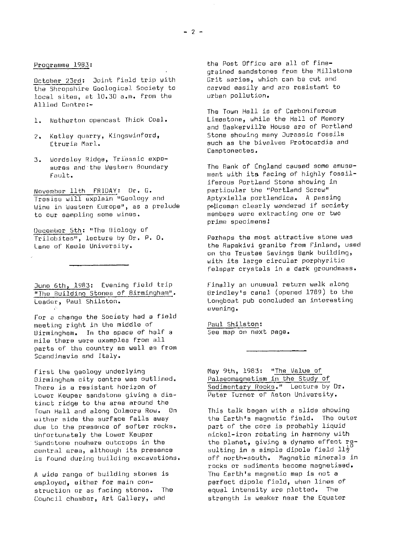October 23rd: Joint field trip with Grit series, which can be cut and<br>the Shropshire Geological Society to carved easily and are resistant to the Shropshire Geological Society to carved easily and are resistant to the shropshire  $\ln 30$  a.m. from the carve urban pollution. local sites, at  $10.30$  a.m. from the Allied Contra:-

- 1. Netherton opencast Thick Coal.
- 2. Kotley quarry, Kingswinford, Etruria Marl,.
- 3. Wordsloy Ridge, Triassic exposures and the Western Boundary Fault.

November 11th FRIDAY: Dr, G. Tresisu will explain "Geology and Wince in Western Europe", as a prelude to our sampling some wines.

December 5th: "The Biology of Trilobites", lecture by Dr. P. o, Lane or Keole University.

June 6th, 1983: Evening field trip "The Building Stones of Birmingham". Leader, Paul Shilston.

For a change the Society had a field meeting right in the middle of Birmingham. In the space of half a mile there were examples from all parts of the country as well as from Scandinavia and Italy.

First the geology underlying Birmingham city centre was outlined. There is a resistant horizon of Lower Keuper sandstone giving a distinct ridge to the area around the Town Hall and along Colmore Row. On wither side the surface falls away due to the presence of softer rocks. Unfortunately the Lower Keuper Sandstone nowhere outcrops in the central area, although its presence is found during building excavations.

A wide range of building stones is employed, either for main construction or as facing stones, The Council chamber, Art Gallery, and

Programme 1983: The Post Office are all of finegrained sandstones from the Millstone<br>Grit series, which can be cut and

> The Town Hall is of Carboniferous Limestone, while the Hall of Memory and Baskervill'e House are of' Portland Stone showing many Jurassic Fossils much as the bivalves Protocardia and Camptonectes.

The Bank of England caused some amusement with its facing of highly fossiliferous Portland Stone showing in particular the "Portland Screw" Aptyxiella portlandica. A passing policeman clearly wondered if society members were extracting one or two prime specimens!

Perhaps the most attractive stone was the Rapekivi granite from Finland, used on the Trustee Savings Bank building, with its large circular porphyritic felspar crystals in a dark groundmass.

Finally an unusual return walk along Orindley's canal (opened 1759) to the Longboat pub concluded an interesting evening.

Paul Shilston: See map on next page.

May 9th, 1983: " The Ualue of Palaeomagnetism in the Study of Sedimentary Rocks." Lecture by Dr. Peter Turner of Aston University.

This talk began with a slide showing the Earth's magnetic field. The outer part of the core is probably liquid nickel-iron rotating in harmony with the planet, giving a dynamo effect resulting in a simple dipole field  $11\frac{1}{2}$ off north-south. Magnetic minerals in rocks or sediments become magnetised. The Earth's magnetic map is not a perfect dipole field, when lines of equal intensity are platted. The strength is weaker near the Equator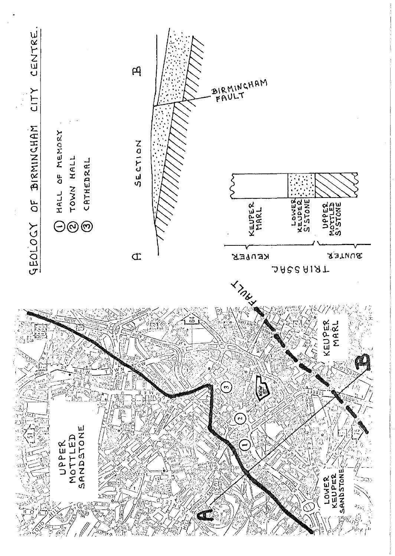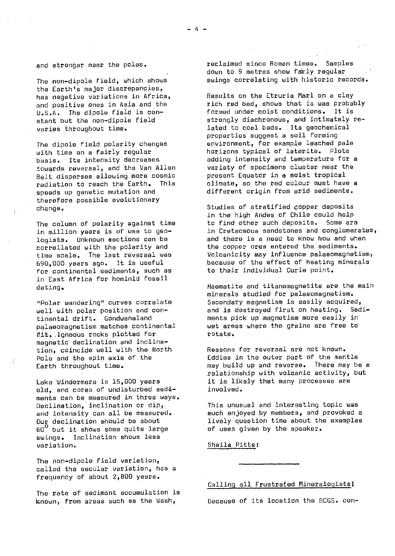The non-dipole field, which shows the Earth's major discrepancies, has negative variations in Africa, and positive ones in Asia and the U.S.A. The dipole field is constant but the non-dipole field varies throughout time.

The dipole field polarity changes with time on a fairly regular basis. Its intensity decreases towards reversal, and the Van Allen Belt disperses allowing more cosmic radiation to reach the Earth. speeds up genetic mutation and therefore possible evolutionary change.

The column of polarity against time in million years is of use to geologists. Unknown sections can be correllated with the polarity and time scale. The last reversal was 690,000 years ago. It is useful for continental sediments, such as in East Africa for hominid fossil dating.

"Polar wandering" curves correlate well with polar position and continental drift. Gondwanaland palaeomagnetism matches continental fit..Igneous rocks plotted for magnetic declination and inclinetion, coincide well with the North Pole and the spin axis of the Earth throughout time.

Lake Windermere is 15,000 years old, and cores of undisturbed sediments can be measured in three ways. Declination, inclination or dip, and intensity can all be measured. Our declination should be about 60 i but it shows some quite large swings. Inclination shows less variation.

The non-dipole field variation, called the secular variation, has a frequency of about 2,800 years.

The rate of sediment accumulation is known, from areas such as the Wash, Because of its location the BCGS. con-

reclaimed since Roman times. Samples down to 9 metres show faily regular swings correlating with historic records.

Results on the Etruria Marl on a clay rich red bed, shows that is was probably Formed under moist conditions. It is strongly diachronous, and intimately related to coal beds. Its geochemical properties suggest a sail forming environment, for example leached pale<br>horizons typical of laterite. Plots horizons typical of laterite. adding intensity and temperature for a variety of specimens cluster near the present Equator in a moist tropical climate, so the red colour must have a different origin from arid sediments.

Studies of stratified copper deposits in the high Andes of Chile could help to find other such deposits. Some are in Cretaceous sandstones and conglomerates, and there is a need to know how and when the copper ores entered the sediments. Volcanicity may influence palaeomagnetism, because of the effect of heating minerals to their individual Curia point.

Haematite and titanomagnetite are the main minerals studied for palaeomagnetism. Secondary magnetism is easily acquired, and is destroyed first on heating. 5odiments pick up magnetism more easily in wet areas where the grains are free to rotate.

Reasons for reversal are not known. Eddies in the outer part of the mantle may build up and reverse. There may be a relationship with voloanic activity, but it is likely that many processes are involved.

This unusual and interesting topic was much enjoyed by members, and provoked a lively question time about the examples of uses given by the speaker.

Sheila Pitts:

## Calling all Frustrated Mineralogists!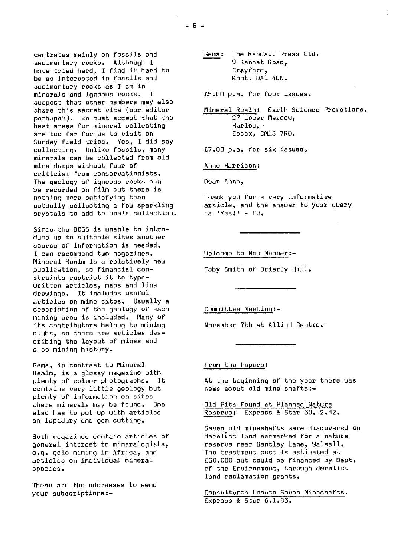centrates mainly on fossils and sedimentary rocks. Although I have tried hard, I find it hard to  $\overline{b}$  as interested in fossils and sedimentary rocks as I am in minerals and igneous rocks. I suspect that other members may also share this secret vice (our editor perhaps?). We must accept that the best areas for mineral collecting are too far for us to visit on Sunday field trips. Yes, I did say collecting. Unlike fossils, many minerals can be collected from old mine dumps without fear of criticism from conservationists. The geology of igneous rocks can be recorded on film but there is nothing more satisfying than actually collecting a few sparkling crystals to add to one's collection.

Since the BCGS is unable to introduce us to suitable sites another source of information is needed. I can recommend two magazines. Mineral Realm is a relatively new publication, so financial constraints restrict it to typewritten articles, maps and line drawings. It includes useful articles on mine sites. Usually a description of the geology of each mining area is included. Many of its contributors belong to mining clubs, so there are articles describing the layout of mines and also mining history.

Gems, in contrast to Mineral Realm, is a glossy magazine with plenty of colour photographs. It contains very little geology but plenty of information on sites where minerals may be found. One also has to put up with articles on lapidary and gem cutting.

Both magazines contain articles of general interest to mineralogists, e.g. gold mining in Africa, and articles on individual mineral species.

These are the addresses to send your subscriptions:-

Gems: The Randall Press Ltd. 9 Kennet Road, Crayford, Kent. DA1 4QN.

£5.00 p.e. for four issues.

Mineral Realm: Earth Science Promotions, 27 Lower Meadow, Harlow, Essex, CM18 7RD.

E7.00 p.a. for six issued\*

Anne Harrison :

Dear Anne,

Thank you for a very informative article, and the answer to your query is 'Yes!' - Ed.

Welcome to New Member :-

Toby Smith of Brierly Hill.

Committee Meeting :-

November 7th at Allied Centre.

From the Papers :

At the beginning of the year there was news about old mine shafts:-

Old Pits Found at Planned Nature Reserve: Express & Star 30.12.82.

Seven old mineshafts were discovered on derelict land earmarked for a nature reserve near Bentley Lane, Walsall. The treatment cost is estimated at £30,000 but could be financed by Dept. of the Environment, through derelict land reclamation grants.

Consultants Locate Seven Mineshafts . Express & Star 6.1.83,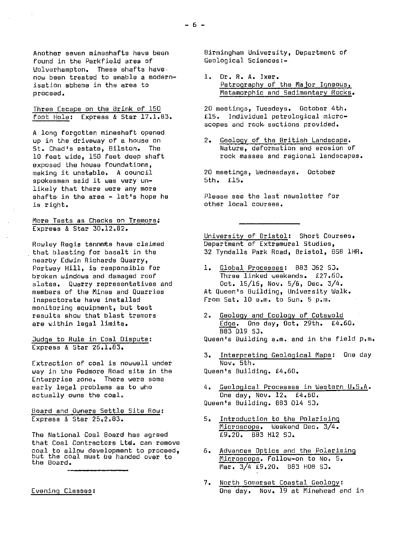Another seven mineshafts have been found in the Parkfield area of Wolverhampton. These shafts have. now been treated to enable a modernisation sbheme in the area to proceed.

Three Escape on the Brink of 150 foot Hole: Express & Star 17.1.83.

A long forgotten mineshaft opened up in the driveway of a house on St. Chad's estate, Bilston. The 10 feet wide, 150 feet deep shaft exposed the house foundations, making it unstable. A council spokesman said it was very unlikely that there were any more shafts in the area  $-$  let's hope he is right.

## More Tests as Checks on Tremors : Express & Star 30.12.82.

Rowley Regis tennants have claimed that blasting for basalt in the nearby Edwin Richards Quarry, Portway Hill, is responsible for broken windows and damaged roof slates. Quarry representatives and members of the Mines and Quarries Inspectorate have installed monitoring equipment, but test results show that blast tremors are within legal limits.

Judge to Rule in Coal Dispute: Express & Star 26.1.83.

Extraction of coal is nowwell under way in the Pedmore Road site in the Enterprise zone. There were some early legal problems as to who actually owns the coal.

## Board and Owners Settle Site Row : Express & Star 25.2.83.

The National Coal Board has agreed that Coal Contractors Ltd. can remove coal to allow development to proceed, but the coal must be handed over to the Board.

Evening Classes :

Birmingham University, Department of Geological Sciences:-

1. Dr. R. A. Ixer. Petrography of the Major Igneous, Metamorphic and Sedimentary Rocks.

20 meetings, Tuesdays. October 4th. £15. Individual petrological microscopes and rock sections provided.

2. Geology of the British Landscape . Nature, deformation and erosion of rock masses and regional landscapes.

20 meetings, Wednesdays. October 5th. £15.

Please see the last newsletter for other local courses.

University of Bristol: Short Courses. Department of Extramural Studies, 32 Tyndalls Park Road, Bristol, BSB 1HR.

- 1. Global Processes: 883 J62 SJ. Three linked weekends. £27.60. Oct. 15/16, Nov. 5/6, Dec. 3/4. At Queen's Building, University Walk, From Sat. 10 a.m. to Sun. 5 p.m.
- 2. Geology and Ecology of Cotswold Edge. One day, Oct. 29th. £4.60. 883 019 53. Queen's Building a.m. and in the field p.m.
- 3. Interpreting Geological Maps: One day Nov. 5th. Queen's Building. £4.60.

4. Geological Processes in Western U.S.A. One day, Nov. 12. £4.60. Queen's Building. 083 014 S3.

- 5. Introduction to the Polarisin Microscope, Weekend Dec. 3/4. £9.20. 883 H12 SJ.
- 6. Advances Optics and the Polarising Microscope. Follow-on to No. 5.  $M$ ar. 3/4  $E9.20.$  683 H08 SJ.
- 7. North Somerset Coastal Geology: One day. Nov. 19 at Minehead and in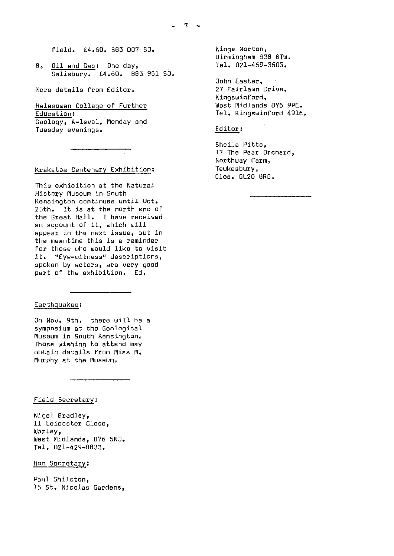field. £4.60. S83 D07 SJ.

8. Oil and Gas: One day, Salisbury. £4.60. 803 951 53.

More details from Editor.

Halesowen College of Further Education :

Geology, A-level, Monday and Tuesday evenings.

## Krakatoa Centenary Exhibition :

This exhibition at the Natural Histogy Museum in South Kensington continues until Oct. 25th. It is at the north end of the Great Hall. I have received an account of it, which will appear in the next issue, but in the meantime this is a reminder for those who would like to visit<br>it. "Eve-witness" descriptions. "Eye-witness" descriptions, spoken by actors, are very good part of the exhibition. Ed.

## Earthquakes;

On Nov. 9th. there will be a symposium at the Geological Museum in South Kensington. Those wishing to attend may obtain details From Miss M. Murphy at the Museum.

#### Field Secretary:

Nigel Bradley, 11 Leicester Close, Warley, West Midlands, 876 SNJ. Tel. 021-429-8833.

# Hon Secretary :

Paul Shilston, 16 St. Nicolas Gardens, Kings Norton, Birmingham 038 81W. Tel. 021-459-3603.

John Easter, 27 Fairlawn Drive. Kingswinford, West Midlands 0Y6 9PE. Tel. Kingswinford 4916.

## Editor :

Sheila Pitts, 17 The Pear Orchard, Northway Farm, Tewkesbury, Glos. GL20 BRG.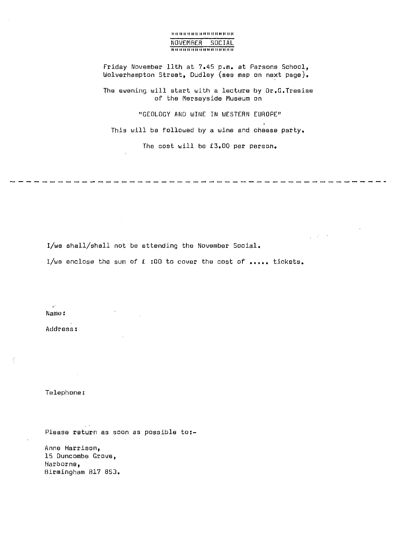## **1111nit It 11 II 11111111111111 till** NOVEMBER SOCIAL **11** 11 !**I 11 11 II II 11 11** 11 11 t! **11 11 11 Ii**

Friday November 11th at 7.45 p.m. at Parsons School, Wolverhampton Street, Dudley (sea map on next page).

The evening will start with a lecture by Dr.G.Tresise of the Merseyside Museum on

"GEOLOGY AND WINE IN WESTERN EUROPE"

This will be followed by a wine and cheese party.

The cost will be £3.00 per person.

 $\frac{1}{2}$  ,  $\frac{1}{2}$  ,  $\frac{1}{2}$  ,  $\frac{1}{2}$ 

I/we shall/shall not be attending the November Social.

 $\sim 10^{-1}$ 

I/we enclose the sum of £ :00 to cover the cost of ..... tickets.

 $\vec{K}^{\prime}$ Name:

Address:

Telephone:

Please return as soon as possible to:-

Anna Harrison, 15 Duncombe Grove, Harborne, Birmingham B17 855.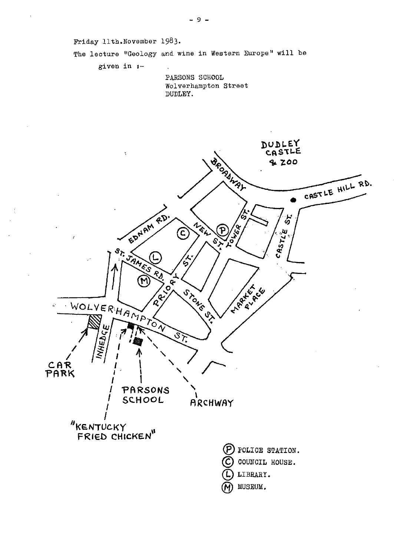Friday 11th. November 1983.

The lecture "Geology and wine in Western Europe" will be

given in  $t-$ 

PARSONS SCHOOL Wolverhampton Street DUDLEY.